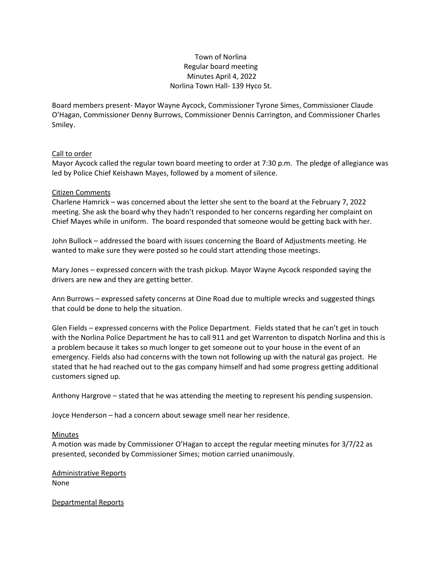# Town of Norlina Regular board meeting Minutes April 4, 2022 Norlina Town Hall- 139 Hyco St.

Board members present- Mayor Wayne Aycock, Commissioner Tyrone Simes, Commissioner Claude O'Hagan, Commissioner Denny Burrows, Commissioner Dennis Carrington, and Commissioner Charles Smiley.

# Call to order

Mayor Aycock called the regular town board meeting to order at 7:30 p.m. The pledge of allegiance was led by Police Chief Keishawn Mayes, followed by a moment of silence.

### Citizen Comments

Charlene Hamrick – was concerned about the letter she sent to the board at the February 7, 2022 meeting. She ask the board why they hadn't responded to her concerns regarding her complaint on Chief Mayes while in uniform. The board responded that someone would be getting back with her.

John Bullock – addressed the board with issues concerning the Board of Adjustments meeting. He wanted to make sure they were posted so he could start attending those meetings.

Mary Jones – expressed concern with the trash pickup. Mayor Wayne Aycock responded saying the drivers are new and they are getting better.

Ann Burrows – expressed safety concerns at Oine Road due to multiple wrecks and suggested things that could be done to help the situation.

Glen Fields – expressed concerns with the Police Department. Fields stated that he can't get in touch with the Norlina Police Department he has to call 911 and get Warrenton to dispatch Norlina and this is a problem because it takes so much longer to get someone out to your house in the event of an emergency. Fields also had concerns with the town not following up with the natural gas project. He stated that he had reached out to the gas company himself and had some progress getting additional customers signed up.

Anthony Hargrove – stated that he was attending the meeting to represent his pending suspension.

Joyce Henderson – had a concern about sewage smell near her residence.

#### Minutes

A motion was made by Commissioner O'Hagan to accept the regular meeting minutes for 3/7/22 as presented, seconded by Commissioner Simes; motion carried unanimously.

Administrative Reports None

Departmental Reports